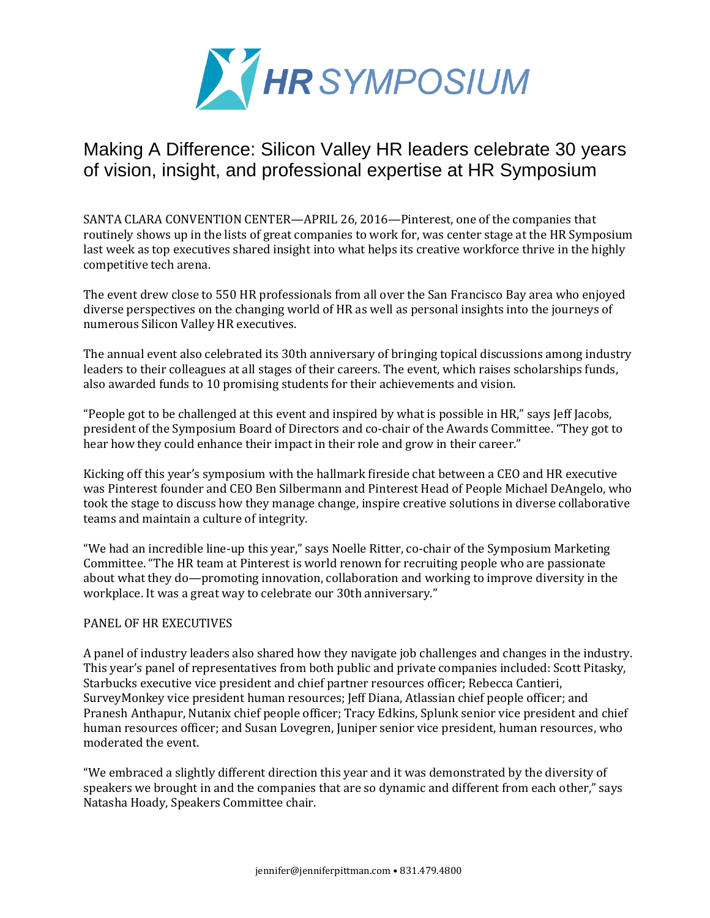

## Making A Difference: Silicon Valley HR leaders celebrate 30 years of vision, insight, and professional expertise at HR Symposium

SANTA CLARA CONVENTION CENTER—APRIL 26, 2016—Pinterest, one of the companies that routinely shows up in the lists of great companies to work for, was center stage at the HR Symposium last week as top executives shared insight into what helps its creative workforce thrive in the highly competitive tech arena.

The event drew close to 550 HR professionals from all over the San Francisco Bay area who enjoyed diverse perspectives on the changing world of HR as well as personal insights into the journeys of numerous Silicon Valley HR executives.

The annual event also celebrated its 30th anniversary of bringing topical discussions among industry leaders to their colleagues at all stages of their careers. The event, which raises scholarships funds, also awarded funds to 10 promising students for their achievements and vision.

"People got to be challenged at this event and inspired by what is possible in HR," says Jeff Jacobs, president of the Symposium Board of Directors and co-chair of the Awards Committee. "They got to hear how they could enhance their impact in their role and grow in their career."

Kicking off this year's symposium with the hallmark fireside chat between a CEO and HR executive was Pinterest founder and CEO Ben Silbermann and Pinterest Head of People Michael DeAngelo, who took the stage to discuss how they manage change, inspire creative solutions in diverse collaborative teams and maintain a culture of integrity.

"We had an incredible line-up this year," says Noelle Ritter, co-chair of the Symposium Marketing Committee. "The HR team at Pinterest is world renown for recruiting people who are passionate about what they do—promoting innovation, collaboration and working to improve diversity in the workplace. It was a great way to celebrate our 30th anniversary."

## PANEL OF HR EXECUTIVES

A panel of industry leaders also shared how they navigate job challenges and changes in the industry. This year's panel of representatives from both public and private companies included: Scott Pitasky, Starbucks executive vice president and chief partner resources officer; Rebecca Cantieri, SurveyMonkey vice president human resources; Jeff Diana, Atlassian chief people officer; and Pranesh Anthapur, Nutanix chief people officer; Tracy Edkins, Splunk senior vice president and chief human resources officer; and Susan Lovegren, Juniper senior vice president, human resources, who moderated the event.

"We embraced a slightly different direction this year and it was demonstrated by the diversity of speakers we brought in and the companies that are so dynamic and different from each other," says Natasha Hoady, Speakers Committee chair.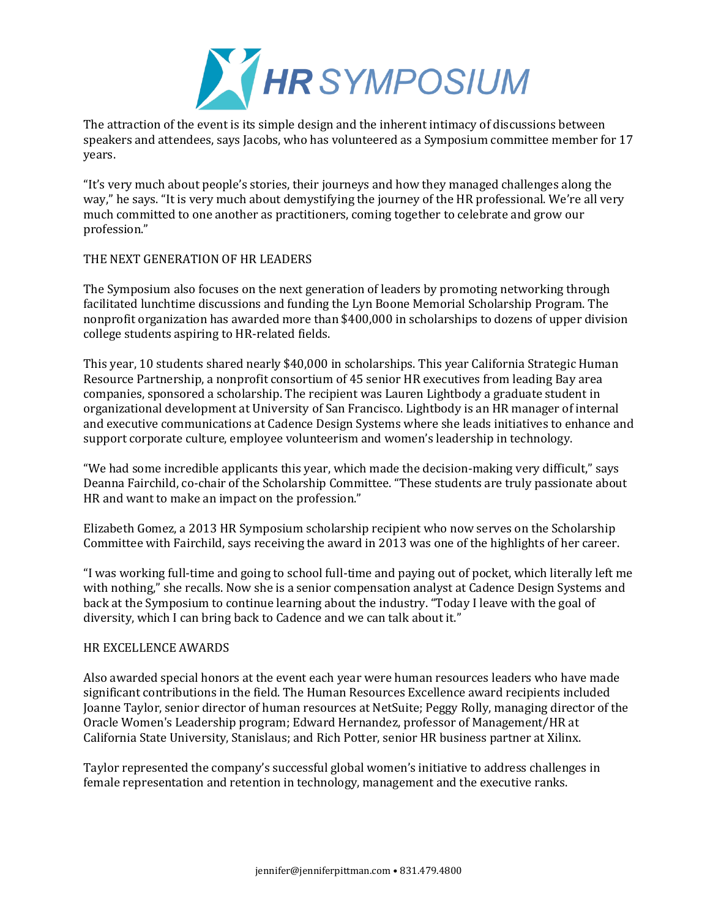

The attraction of the event is its simple design and the inherent intimacy of discussions between speakers and attendees, says Jacobs, who has volunteered as a Symposium committee member for 17 years.

"It's very much about people's stories, their journeys and how they managed challenges along the way," he says. "It is very much about demystifying the journey of the HR professional. We're all very much committed to one another as practitioners, coming together to celebrate and grow our profession."

## THE NEXT GENERATION OF HR LEADERS

The Symposium also focuses on the next generation of leaders by promoting networking through facilitated lunchtime discussions and funding the Lyn Boone Memorial Scholarship Program. The nonprofit organization has awarded more than \$400,000 in scholarships to dozens of upper division college students aspiring to HR-related fields.

This year, 10 students shared nearly \$40,000 in scholarships. This year California Strategic Human Resource Partnership, a nonprofit consortium of 45 senior HR executives from leading Bay area companies, sponsored a scholarship. The recipient was Lauren Lightbody a graduate student in organizational development at University of San Francisco. Lightbody is an HR manager of internal and executive communications at Cadence Design Systems where she leads initiatives to enhance and support corporate culture, employee volunteerism and women's leadership in technology.

"We had some incredible applicants this year, which made the decision-making very difficult," says Deanna Fairchild, co-chair of the Scholarship Committee. "These students are truly passionate about HR and want to make an impact on the profession."

Elizabeth Gomez, a 2013 HR Symposium scholarship recipient who now serves on the Scholarship Committee with Fairchild, says receiving the award in 2013 was one of the highlights of her career.

"I was working full-time and going to school full-time and paying out of pocket, which literally left me with nothing," she recalls. Now she is a senior compensation analyst at Cadence Design Systems and back at the Symposium to continue learning about the industry. "Today I leave with the goal of diversity, which I can bring back to Cadence and we can talk about it."

## HR EXCELLENCE AWARDS

Also awarded special honors at the event each year were human resources leaders who have made significant contributions in the field. The Human Resources Excellence award recipients included Joanne Taylor, senior director of human resources at NetSuite; Peggy Rolly, managing director of the Oracle Women's Leadership program; Edward Hernandez, professor of Management/HR at California State University, Stanislaus; and Rich Potter, senior HR business partner at Xilinx.

Taylor represented the company's successful global women's initiative to address challenges in female representation and retention in technology, management and the executive ranks.